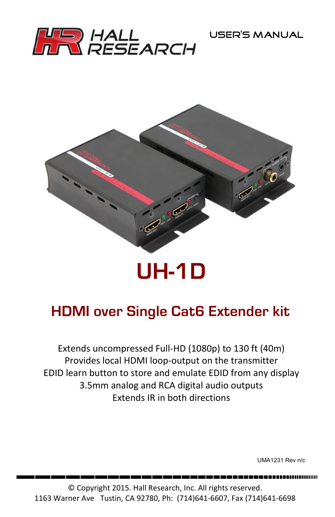



# **UH-1D**

# **HDMI over Single Cat6 Extender kit**

Extends uncompressed Full-HD (1080p) to 130 ft (40m) Provides local HDMI loop-output on the transmitter EDID learn button to store and emulate EDID from any display 3.5mm analog and RCA digital audio outputs Extends IR in both directions

UMA1231 Rev n/c

--------------------

© Copyright 2015. Hall Research, Inc. All rights reserved. 1163 Warner Ave Tustin, CA 92780, Ph: (714)641-6607, Fax (714)641-6698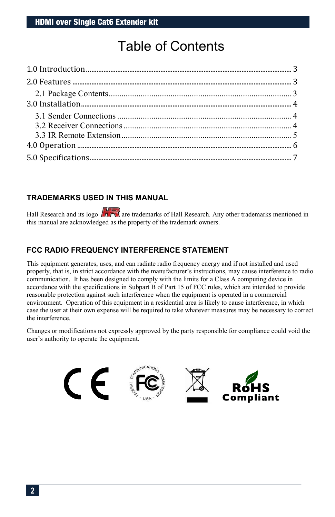# Table of Contents

#### **TRADEMARKS USED IN THIS MANUAL**

Hall Research and its logo  $\sqrt{1-\lambda}$  are trademarks of Hall Research. Any other trademarks mentioned in this manual are acknowledged as the property of the trademark owners.

#### **FCC RADIO FREQUENCY INTERFERENCE STATEMENT**

This equipment generates, uses, and can radiate radio frequency energy and if not installed and used properly, that is, in strict accordance with the manufacturer's instructions, may cause interference to radio communication. It has been designed to comply with the limits for a Class A computing device in accordance with the specifications in Subpart B of Part 15 of FCC rules, which are intended to provide reasonable protection against such interference when the equipment is operated in a commercial environment. Operation of this equipment in a residential area is likely to cause interference, in which case the user at their own expense will be required to take whatever measures may be necessary to correct the interference.

Changes or modifications not expressly approved by the party responsible for compliance could void the user's authority to operate the equipment.

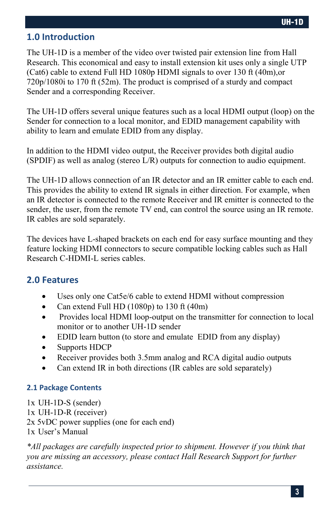## <span id="page-2-0"></span>**1.0 Introduction**

The UH-1D is a member of the video over twisted pair extension line from Hall Research. This economical and easy to install extension kit uses only a single UTP (Cat6) cable to extend Full HD 1080p HDMI signals to over 130 ft (40m),or 720p/1080i to 170 ft (52m). The product is comprised of a sturdy and compact Sender and a corresponding Receiver.

The UH-1D offers several unique features such as a local HDMI output (loop) on the Sender for connection to a local monitor, and EDID management capability with ability to learn and emulate EDID from any display.

In addition to the HDMI video output, the Receiver provides both digital audio (SPDIF) as well as analog (stereo L/R) outputs for connection to audio equipment.

The UH-1D allows connection of an IR detector and an IR emitter cable to each end. This provides the ability to extend IR signals in either direction. For example, when an IR detector is connected to the remote Receiver and IR emitter is connected to the sender, the user, from the remote TV end, can control the source using an IR remote. IR cables are sold separately.

The devices have L-shaped brackets on each end for easy surface mounting and they feature locking HDMI connectors to secure compatible locking cables such as Hall Research C-HDMI-L series cables.

#### <span id="page-2-1"></span>**2.0 Features**

- Uses only one Cat5e/6 cable to extend HDMI without compression
- Can extend Full HD (1080p) to 130 ft (40m)
- Provides local HDMI loop-output on the transmitter for connection to local monitor or to another UH-1D sender
- EDID learn button (to store and emulate EDID from any display)
- Supports HDCP
- Receiver provides both 3.5mm analog and RCA digital audio outputs
- Can extend IR in both directions (IR cables are sold separately)

#### <span id="page-2-2"></span>**2.1 Package Contents**

1x UH-1D-S (sender) 1x UH-1D-R (receiver) 2x 5vDC power supplies (one for each end) 1x User's Manual

*\*All packages are carefully inspected prior to shipment. However if you think that you are missing an accessory, please contact Hall Research Support for further assistance.*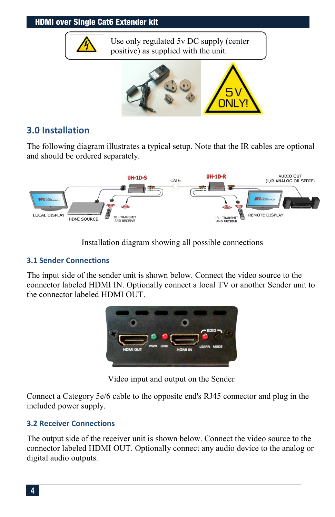#### HDMI over Single Cat6 Extender kit



#### <span id="page-3-0"></span>**3.0 Installation**

The following diagram illustrates a typical setup. Note that the IR cables are optional and should be ordered separately.



Installation diagram showing all possible connections

#### <span id="page-3-1"></span>**3.1 Sender Connections**

The input side of the sender unit is shown below. Connect the video source to the connector labeled HDMI IN. Optionally connect a local TV or another Sender unit to the connector labeled HDMI OUT.



Video input and output on the Sender

Connect a Category 5e/6 cable to the opposite end's RJ45 connector and plug in the included power supply.

#### <span id="page-3-2"></span>**3.2 Receiver Connections**

The output side of the receiver unit is shown below. Connect the video source to the connector labeled HDMI OUT. Optionally connect any audio device to the analog or digital audio outputs.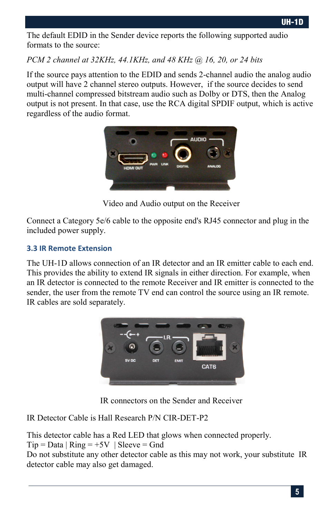The default EDID in the Sender device reports the following supported audio formats to the source:

*PCM 2 channel at 32KHz, 44.1KHz, and 48 KHz @ 16, 20, or 24 bits*

If the source pays attention to the EDID and sends 2-channel audio the analog audio output will have 2 channel stereo outputs. However, if the source decides to send multi-channel compressed bitstream audio such as Dolby or DTS, then the Analog output is not present. In that case, use the RCA digital SPDIF output, which is active regardless of the audio format.



Video and Audio output on the Receiver

Connect a Category 5e/6 cable to the opposite end's RJ45 connector and plug in the included power supply.

#### <span id="page-4-0"></span>**3.3 IR Remote Extension**

The UH-1D allows connection of an IR detector and an IR emitter cable to each end. This provides the ability to extend IR signals in either direction. For example, when an IR detector is connected to the remote Receiver and IR emitter is connected to the sender, the user from the remote TV end can control the source using an IR remote. IR cables are sold separately.



IR connectors on the Sender and Receiver

IR Detector Cable is Hall Research P/N CIR-DET-P2

This detector cable has a Red LED that glows when connected properly.  $Tip = Data | Ring = +5V | Sleeve = Gnd$ Do not substitute any other detector cable as this may not work, your substitute IR detector cable may also get damaged.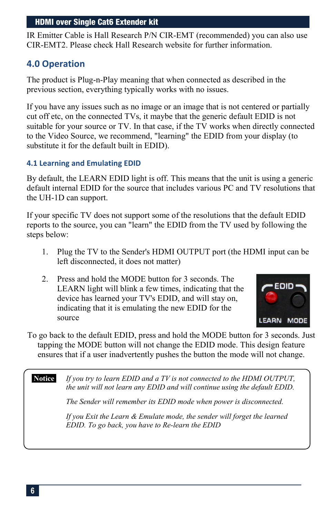IR Emitter Cable is Hall Research P/N CIR-EMT (recommended) you can also use CIR-EMT2. Please check Hall Research website for further information.

### <span id="page-5-0"></span>**4.0 Operation**

The product is Plug-n-Play meaning that when connected as described in the previous section, everything typically works with no issues.

If you have any issues such as no image or an image that is not centered or partially cut off etc, on the connected TVs, it maybe that the generic default EDID is not suitable for your source or TV. In that case, if the TV works when directly connected to the Video Source, we recommend, "learning" the EDID from your display (to substitute it for the default built in EDID).

#### **4.1 Learning and Emulating EDID**

By default, the LEARN EDID light is off. This means that the unit is using a generic default internal EDID for the source that includes various PC and TV resolutions that the UH-1D can support.

If your specific TV does not support some of the resolutions that the default EDID reports to the source, you can "learn" the EDID from the TV used by following the steps below:

- 1. Plug the TV to the Sender's HDMI OUTPUT port (the HDMI input can be left disconnected, it does not matter)
- 2. Press and hold the MODE button for 3 seconds. The LEARN light will blink a few times, indicating that the device has learned your TV's EDID, and will stay on, indicating that it is emulating the new EDID for the source



To go back to the default EDID, press and hold the MODE button for 3 seconds. Just tapping the MODE button will not change the EDID mode. This design feature ensures that if a user inadvertently pushes the button the mode will not change.

**Notice** *If you try to learn EDID and a TV is not connected to the HDMI OUTPUT, the unit will not learn any EDID and will continue using the default EDID. The Sender will remember its EDID mode when power is disconnected. If you Exit the Learn & Emulate mode, the sender will forget the learned EDID. To go back, you have to Re-learn the EDID*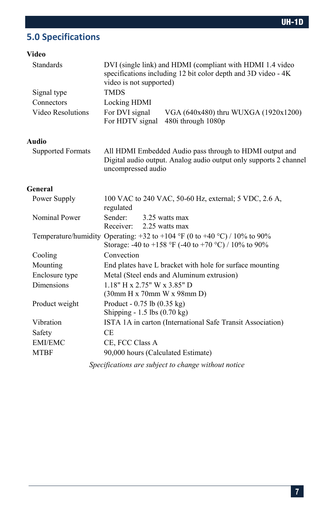## <span id="page-6-0"></span>**5.0 Specifications**

#### **Video**

| <b>Standards</b>                                    | DVI (single link) and HDMI (compliant with HDMI 1.4 video<br>specifications including 12 bit color depth and 3D video - 4K<br>video is not supported) |  |
|-----------------------------------------------------|-------------------------------------------------------------------------------------------------------------------------------------------------------|--|
| Signal type                                         | <b>TMDS</b>                                                                                                                                           |  |
| Connectors                                          | Locking HDMI                                                                                                                                          |  |
| Video Resolutions                                   | For DVI signal<br>VGA (640x480) thru WUXGA (1920x1200)<br>For HDTV signal<br>480i through 1080p                                                       |  |
| Audio                                               |                                                                                                                                                       |  |
| <b>Supported Formats</b>                            | All HDMI Embedded Audio pass through to HDMI output and<br>Digital audio output. Analog audio output only supports 2 channel<br>uncompressed audio    |  |
| General                                             |                                                                                                                                                       |  |
| Power Supply                                        | 100 VAC to 240 VAC, 50-60 Hz, external; 5 VDC, 2.6 A,<br>regulated                                                                                    |  |
| Nominal Power                                       | Sender:<br>3.25 watts max<br>2.25 watts max<br>Receiver:                                                                                              |  |
|                                                     | Temperature/humidity Operating: +32 to +104 °F (0 to +40 °C) / 10% to 90%<br>Storage: -40 to +158 °F (-40 to +70 °C) / 10% to 90%                     |  |
| Cooling                                             | Convection                                                                                                                                            |  |
| Mounting                                            | End plates have L bracket with hole for surface mounting                                                                                              |  |
| Enclosure type                                      | Metal (Steel ends and Aluminum extrusion)                                                                                                             |  |
| <b>Dimensions</b>                                   | $1.18"$ H x 2.75" W x 3.85" D<br>(30mm H x 70mm W x 98mm D)                                                                                           |  |
| Product weight                                      | Product - $0.75$ lb $(0.35 \text{ kg})$<br>Shipping - 1.5 lbs (0.70 kg)                                                                               |  |
| Vibration                                           | ISTA 1A in carton (International Safe Transit Association)                                                                                            |  |
| Safety                                              | <b>CE</b>                                                                                                                                             |  |
| <b>EMI/EMC</b>                                      | CE, FCC Class A                                                                                                                                       |  |
| <b>MTBF</b>                                         | 90,000 hours (Calculated Estimate)                                                                                                                    |  |
| Specifications are subject to change without notice |                                                                                                                                                       |  |